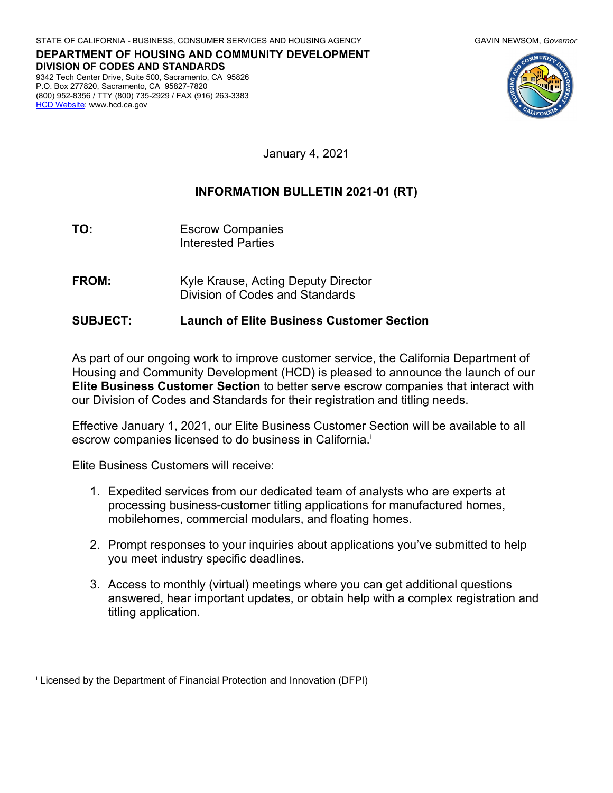**DEPARTMENT OF HOUSING AND COMMUNITY DEVELOPMENT DIVISION OF CODES AND STANDARDS** 9342 Tech Center Drive, Suite 500, Sacramento, CA 95826 P.O. Box 277820, Sacramento, CA 95827-7820 (800) 952-8356 / TTY (800) 735-2929 / FAX (916) 263-3383 [HCD Website:](http://www.hcd.ca.gov/) www.hcd.ca.gov



January 4, 2021

### **INFORMATION BULLETIN 2021-01 (RT)**

- **TO:** Escrow Companies Interested Parties
- **FROM:** Kyle Krause, Acting Deputy Director Division of Codes and Standards

#### **SUBJECT: Launch of Elite Business Customer Section**

As part of our ongoing work to improve customer service, the California Department of Housing and Community Development (HCD) is pleased to announce the launch of our **Elite Business Customer Section** to better serve escrow companies that interact with our Division of Codes and Standards for their registration and titling needs.

Effective January 1, 2021, our Elite Business Customer Section will be available to all escrow companies licensed to do business in California. [i](#page-0-0)

Elite Business Customers will receive:

- 1. Expedited services from our dedicated team of analysts who are experts at processing business-customer titling applications for manufactured homes, mobilehomes, commercial modulars, and floating homes.
- 2. Prompt responses to your inquiries about applications you've submitted to help you meet industry specific deadlines.
- 3. Access to monthly (virtual) meetings where you can get additional questions answered, hear important updates, or obtain help with a complex registration and titling application.

<span id="page-0-0"></span><sup>i</sup> Licensed by the Department of Financial Protection and Innovation (DFPI)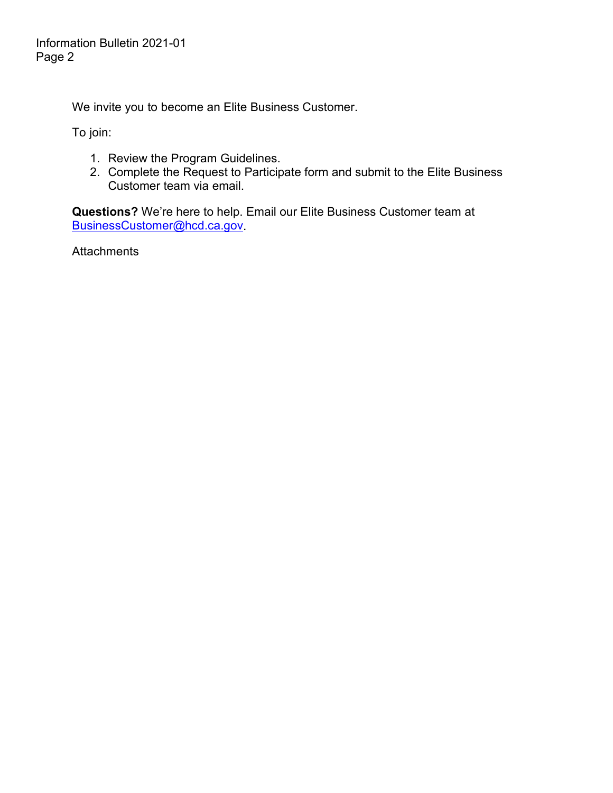We invite you to become an Elite Business Customer.

To join:

- 1. Review the Program Guidelines.
- 2. Complete the Request to Participate form and submit to the Elite Business Customer team via email.

**Questions?** We're here to help. Email our Elite Business Customer team at [BusinessCustomer@hcd.ca.gov.](mailto:BusinessCustomer@hcd.ca.gov)

Attachments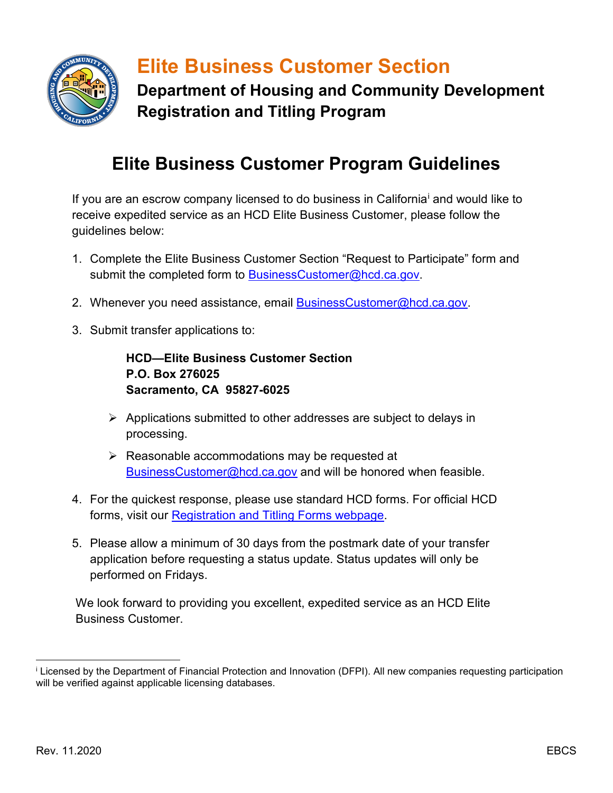

# **Elite Business Customer Section**

**Department of Housing and Community Development Registration and Titling Program**

### **Elite Business Customer Program Guidelines**

If you are an escrow company l[i](#page-2-0)censed to do business in California<sup>i</sup> and would like to receive expedited service as an HCD Elite Business Customer, please follow the guidelines below:

- 1. Complete the Elite Business Customer Section "Request to Participate" form and submit the completed form to [BusinessCustomer@hcd.ca.gov.](mailto:BusinessCustomer@hcd.ca.gov)
- 2. Whenever you need assistance, email [BusinessCustomer@hcd.ca.gov.](mailto:BusinessCustomer@hcd.ca.gov)
- 3. Submit transfer applications to:

**HCD—Elite Business Customer Section P.O. Box 276025 Sacramento, CA 95827-6025**

- $\triangleright$  Applications submitted to other addresses are subject to delays in processing.
- $\triangleright$  Reasonable accommodations may be requested at [BusinessCustomer@hcd.ca.gov](mailto:BusinessCustomer@hcd.ca.gov) and will be honored when feasible.
- 4. For the quickest response, please use standard HCD forms. For official HCD forms, visit our [Registration and Titling Forms webpage.](https://www.hcd.ca.gov/manufactured-mobile-home/registration-titling/registration-titling-forms.shtml)
- 5. Please allow a minimum of 30 days from the postmark date of your transfer application before requesting a status update. Status updates will only be performed on Fridays.

We look forward to providing you excellent, expedited service as an HCD Elite Business Customer.

<span id="page-2-0"></span><sup>i</sup> Licensed by the Department of Financial Protection and Innovation (DFPI). All new companies requesting participation will be verified against applicable licensing databases.